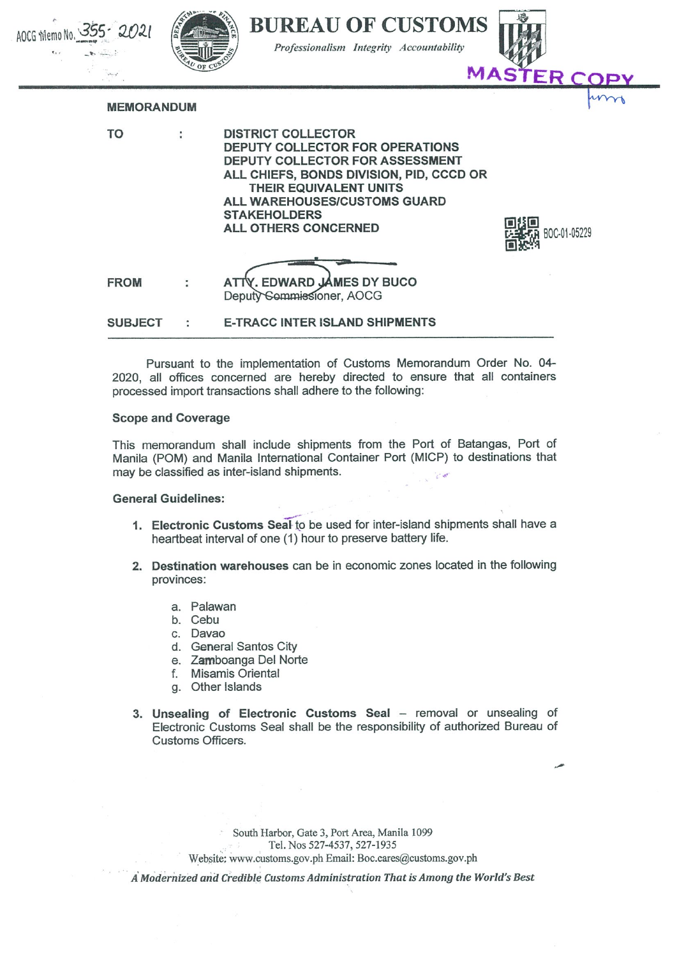

Pursuant to the implementation of Customs Memorandum Order No. 04 2020, all offices concerned are hereby directed to ensure that all containers processed import transactions shall adhere to the following:

## Scope and Coverage

This memorandum shall include shipments from the Port of Batangas, Port of Manila (POM) and Manila International Container Port (MICP) to destinations that may be classified as inter-island shipments.

## General Guidelines:

- 1. Electronic Customs Seal-to be used for inter-island shipments shall have a heartbeat interval of one (1) hour to preserve battery life.
- 2. Destination warehouses can be in economic zones located in the following provinces:
	- a. Palawan
	- b. Cebu
	- c. Davao
	- d. General Santos City
	- e. Zamboanga Del Norte
	- f. Misamis Oriental
	- g. Other Islands
- 3. Unsealing of Electronic Customs Seal removal or unsealing of Electronic Customs Seal shall be the responsibility of authorized Bureau of Customs Officers,

South Harbor, Gate 3, Port Area, Manila 1099 Tel. Nos 527-4537, 527-1935 Website: www.customs.gov.ph Email: Boc.cares@customs.gov.ph

A' Modernized und Credible Customs Administration That is Among the World^ Best